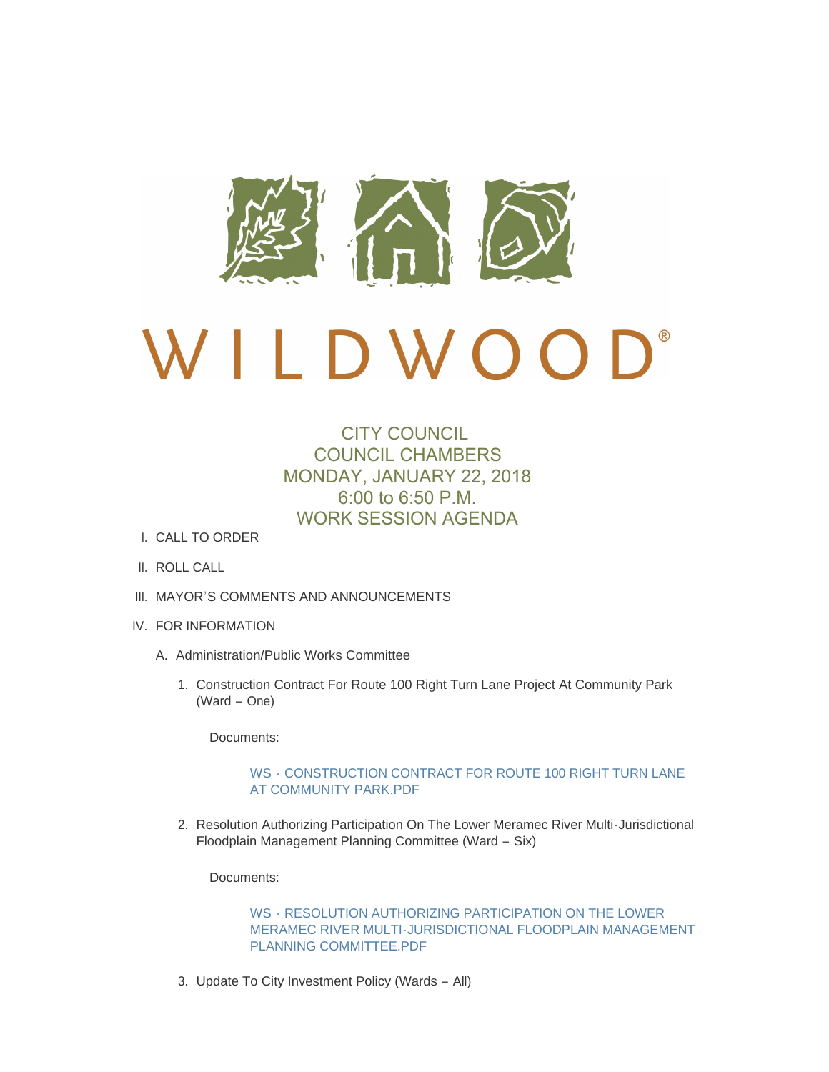

# $\mathbf{D}^*$ D W O O

# CITY COUNCIL COUNCIL CHAMBERS MONDAY, JANUARY 22, 2018 6:00 to 6:50 P.M. WORK SESSION AGENDA

- CALL TO ORDER I.
- II. ROLL CALL
- III. MAYOR'S COMMENTS AND ANNOUNCEMENTS
- IV. FOR INFORMATION
	- A. Administration/Public Works Committee
		- 1. Construction Contract For Route 100 Right Turn Lane Project At Community Park (Ward – One)

Documents:

#### WS - [CONSTRUCTION CONTRACT FOR ROUTE 100 RIGHT TURN LANE](http://mo-wildwood.civicplus.com/AgendaCenter/ViewFile/Item/13768?fileID=19625)  AT COMMUNITY PARK.PDF

2. Resolution Authorizing Participation On The Lower Meramec River Multi-Jurisdictional Floodplain Management Planning Committee (Ward – Six)

Documents:

WS - RESOLUTION AUTHORIZING PARTICIPATION ON THE LOWER [MERAMEC RIVER MULTI-JURISDICTIONAL FLOODPLAIN MANAGEMENT](http://mo-wildwood.civicplus.com/AgendaCenter/ViewFile/Item/13769?fileID=19559)  PLANNING COMMITTEE.PDF

3. Update To City Investment Policy (Wards - All)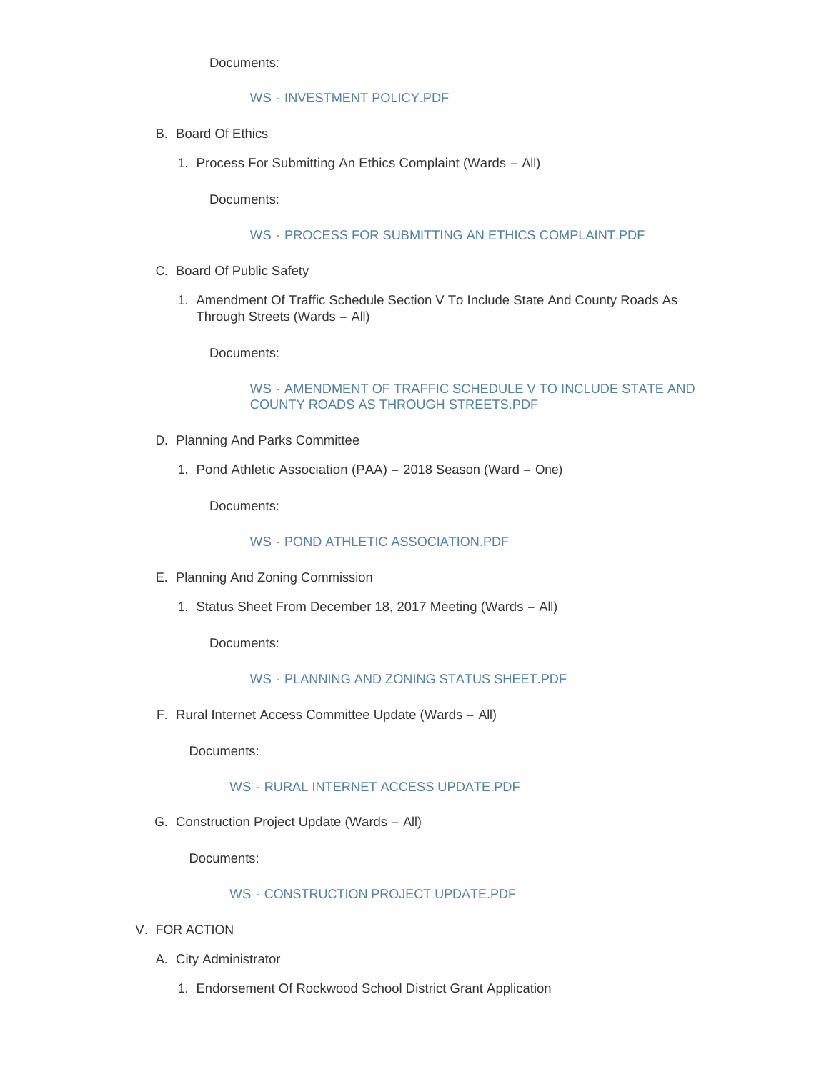Documents:

# WS - [INVESTMENT POLICY.PDF](http://mo-wildwood.civicplus.com/AgendaCenter/ViewFile/Item/13770?fileID=19560)

- B. Board Of Ethics
	- 1. Process For Submitting An Ethics Complaint (Wards All)

Documents:

#### WS - [PROCESS FOR SUBMITTING AN ETHICS COMPLAINT.PDF](http://mo-wildwood.civicplus.com/AgendaCenter/ViewFile/Item/13772?fileID=19561)

- C. Board Of Public Safety
	- 1. Amendment Of Traffic Schedule Section V To Include State And County Roads As Through Streets (Wards – All)

Documents:

#### WS - [AMENDMENT OF TRAFFIC SCHEDULE V TO INCLUDE STATE AND](http://mo-wildwood.civicplus.com/AgendaCenter/ViewFile/Item/13774?fileID=19562)  COUNTY ROADS AS THROUGH STREETS.PDF

- D. Planning And Parks Committee
	- 1. Pond Athletic Association (PAA) 2018 Season (Ward One)

Documents:

WS - [POND ATHLETIC ASSOCIATION.PDF](http://mo-wildwood.civicplus.com/AgendaCenter/ViewFile/Item/13776?fileID=19563)

- E. Planning And Zoning Commission
	- 1. Status Sheet From December 18, 2017 Meeting (Wards All)

Documents:

WS - [PLANNING AND ZONING STATUS SHEET.PDF](http://mo-wildwood.civicplus.com/AgendaCenter/ViewFile/Item/13778?fileID=19564)

F. Rural Internet Access Committee Update (Wards - All)

Documents:

WS - [RURAL INTERNET ACCESS UPDATE.PDF](http://mo-wildwood.civicplus.com/AgendaCenter/ViewFile/Item/13779?fileID=19565)

G. Construction Project Update (Wards - All)

Documents:

# WS - [CONSTRUCTION PROJECT UPDATE.PDF](http://mo-wildwood.civicplus.com/AgendaCenter/ViewFile/Item/13780?fileID=19566)

- V. FOR ACTION
	- A. City Administrator
		- Endorsement Of Rockwood School District Grant Application 1.